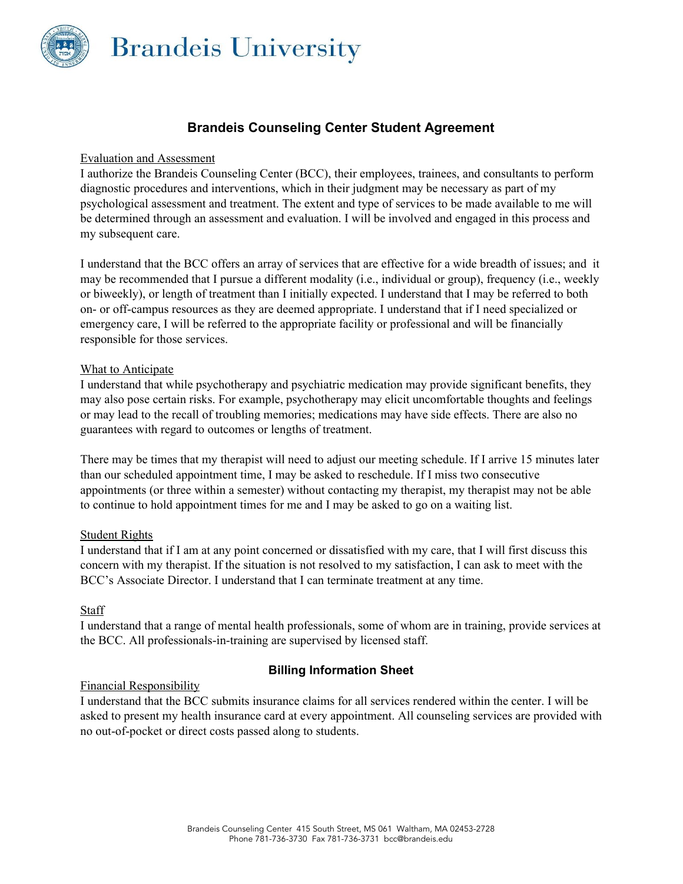

# **Brandeis Counseling Center Student Agreement**

### Evaluation and Assessment

 my subsequent care. I authorize the Brandeis Counseling Center (BCC), their employees, trainees, and consultants to perform diagnostic procedures and interventions, which in their judgment may be necessary as part of my psychological assessment and treatment. The extent and type of services to be made available to me will be determined through an assessment and evaluation. I will be involved and engaged in this process and

I understand that the BCC offers an array of services that are effective for a wide breadth of issues; and it may be recommended that I pursue a different modality (i.e., individual or group), frequency (i.e., weekly or biweekly), or length of treatment than I initially expected. I understand that I may be referred to both on- or off-campus resources as they are deemed appropriate. I understand that if I need specialized or emergency care, I will be referred to the appropriate facility or professional and will be financially responsible for those services.

### What to Anticipate

I understand that while psychotherapy and psychiatric medication may provide significant benefits, they may also pose certain risks. For example, psychotherapy may elicit uncomfortable thoughts and feelings or may lead to the recall of troubling memories; medications may have side effects. There are also no guarantees with regard to outcomes or lengths of treatment.

There may be times that my therapist will need to adjust our meeting schedule. If I arrive 15 minutes later than our scheduled appointment time, I may be asked to reschedule. If I miss two consecutive appointments (or three within a semester) without contacting my therapist, my therapist may not be able to continue to hold appointment times for me and I may be asked to go on a waiting list.

# Student Rights

I understand that if I am at any point concerned or dissatisfied with my care, that I will first discuss this concern with my therapist. If the situation is not resolved to my satisfaction, I can ask to meet with the BCC's Associate Director. I understand that I can terminate treatment at any time.

# Staff

I understand that a range of mental health professionals, some of whom are in training, provide services at the BCC. All professionals-in-training are supervised by licensed staff.

# Financial Responsibility

# **Billing Information Sheet**

 no out-of-pocket or direct costs passed along to students. I understand that the BCC submits insurance claims for all services rendered within the center. I will be asked to present my health insurance card at every appointment. All counseling services are provided with